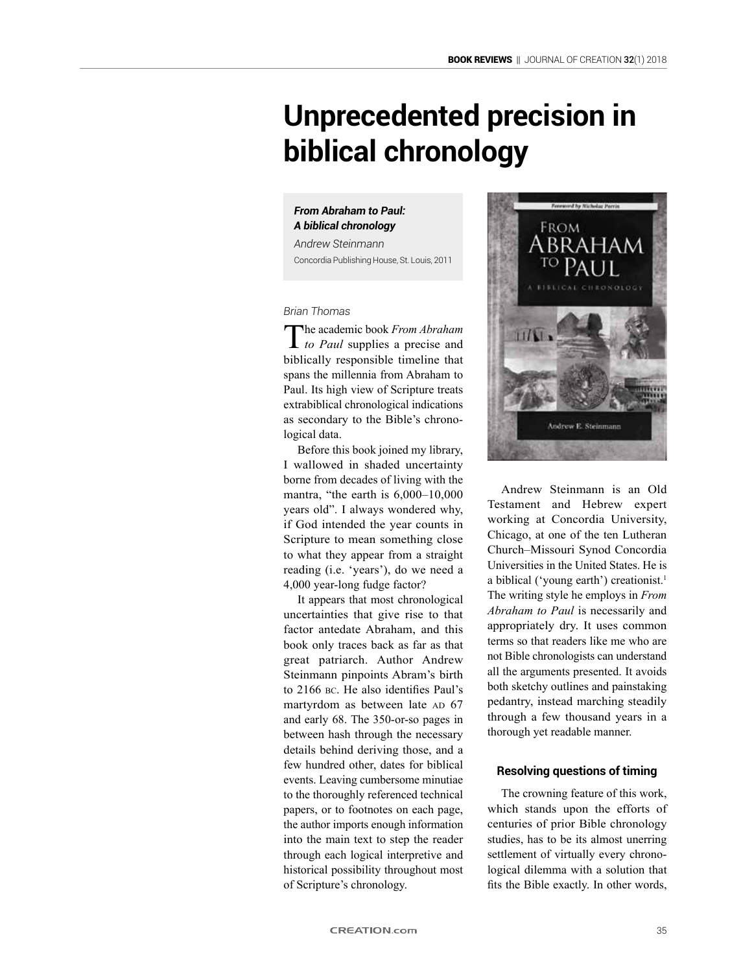# **Unprecedented precision in biblical chronology**

## *From Abraham to Paul: A biblical chronology*

*Andrew Steinmann* Concordia Publishing House, St. Louis, 2011

*Brian Thomas*

The academic book *From Abraham to Paul* supplies a precise and biblically responsible timeline that spans the millennia from Abraham to Paul. Its high view of Scripture treats extrabiblical chronological indications as secondary to the Bible's chronological data.

Before this book joined my library, I wallowed in shaded uncertainty borne from decades of living with the mantra, "the earth is 6,000–10,000 years old". I always wondered why, if God intended the year counts in Scripture to mean something close to what they appear from a straight reading (i.e. 'years'), do we need a 4,000 year-long fudge factor?

It appears that most chronological uncertainties that give rise to that factor antedate Abraham, and this book only traces back as far as that great patriarch. Author Andrew Steinmann pinpoints Abram's birth to 2166 bc. He also identifies Paul's martyrdom as between late AD 67 and early 68. The 350-or-so pages in between hash through the necessary details behind deriving those, and a few hundred other, dates for biblical events. Leaving cumbersome minutiae to the thoroughly referenced technical papers, or to footnotes on each page, the author imports enough information into the main text to step the reader through each logical interpretive and historical possibility throughout most of Scripture's chronology.



Andrew Steinmann is an Old Testament and Hebrew expert working at Concordia University, Chicago, at one of the ten Lutheran Church–Missouri Synod Concordia Universities in the United States. He is a biblical ('young earth') creationist.<sup>1</sup> The writing style he employs in *From Abraham to Paul* is necessarily and appropriately dry. It uses common terms so that readers like me who are not Bible chronologists can understand all the arguments presented. It avoids both sketchy outlines and painstaking pedantry, instead marching steadily through a few thousand years in a thorough yet readable manner.

### **Resolving questions of timing**

The crowning feature of this work, which stands upon the efforts of centuries of prior Bible chronology studies, has to be its almost unerring settlement of virtually every chronological dilemma with a solution that fits the Bible exactly. In other words,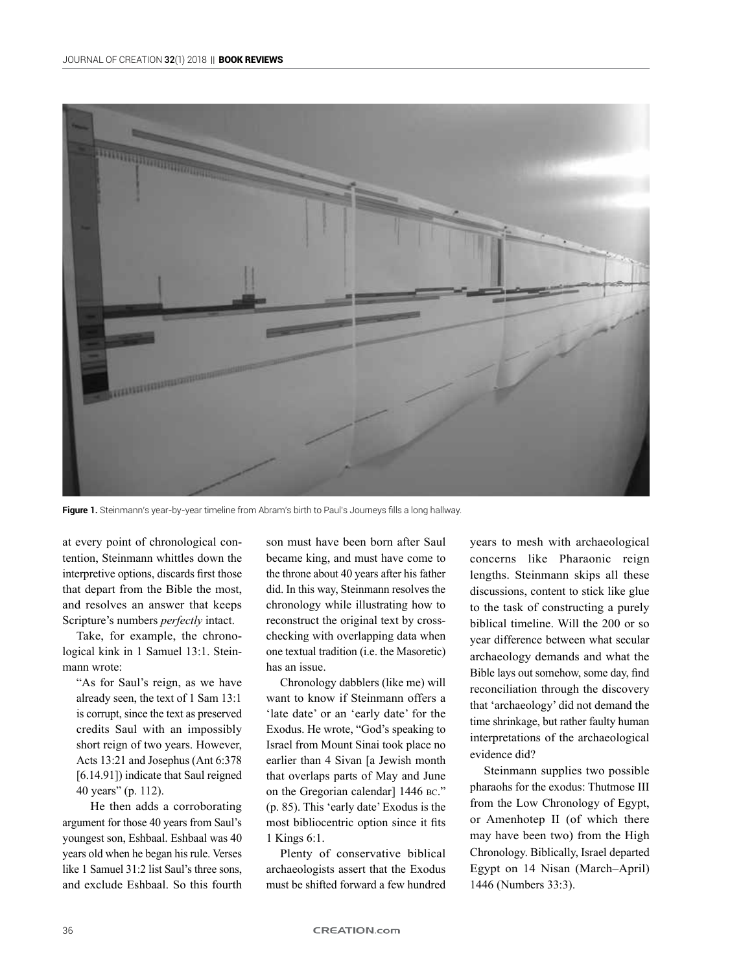

Figure 1. Steinmann's year-by-year timeline from Abram's birth to Paul's Journeys fills a long hallway.

at every point of chronological contention, Steinmann whittles down the interpretive options, discards first those that depart from the Bible the most, and resolves an answer that keeps Scripture's numbers *perfectly* intact.

Take, for example, the chronological kink in 1 Samuel 13:1. Steinmann wrote:

"As for Saul's reign, as we have already seen, the text of 1 Sam 13:1 is corrupt, since the text as preserved credits Saul with an impossibly short reign of two years. However, Acts 13:21 and Josephus (Ant 6:378 [6.14.91]) indicate that Saul reigned 40 years" (p. 112).

He then adds a corroborating argument for those 40 years from Saul's youngest son, Eshbaal. Eshbaal was 40 years old when he began his rule. Verses like 1 Samuel 31:2 list Saul's three sons, and exclude Eshbaal. So this fourth son must have been born after Saul became king, and must have come to the throne about 40 years after his father did. In this way, Steinmann resolves the chronology while illustrating how to reconstruct the original text by crosschecking with overlapping data when one textual tradition (i.e. the Masoretic) has an issue.

Chronology dabblers (like me) will want to know if Steinmann offers a 'late date' or an 'early date' for the Exodus. He wrote, "God's speaking to Israel from Mount Sinai took place no earlier than 4 Sivan [a Jewish month that overlaps parts of May and June on the Gregorian calendar] 1446 BC." (p. 85). This 'early date' Exodus is the most bibliocentric option since it fits 1 Kings 6:1.

Plenty of conservative biblical archaeologists assert that the Exodus must be shifted forward a few hundred

years to mesh with archaeological concerns like Pharaonic reign lengths. Steinmann skips all these discussions, content to stick like glue to the task of constructing a purely biblical timeline. Will the 200 or so year difference between what secular archaeology demands and what the Bible lays out somehow, some day, find reconciliation through the discovery that 'archaeology' did not demand the time shrinkage, but rather faulty human interpretations of the archaeological evidence did?

Steinmann supplies two possible pharaohs for the exodus: Thutmose III from the Low Chronology of Egypt, or Amenhotep II (of which there may have been two) from the High Chronology. Biblically, Israel departed Egypt on 14 Nisan (March–April) 1446 (Numbers 33:3).